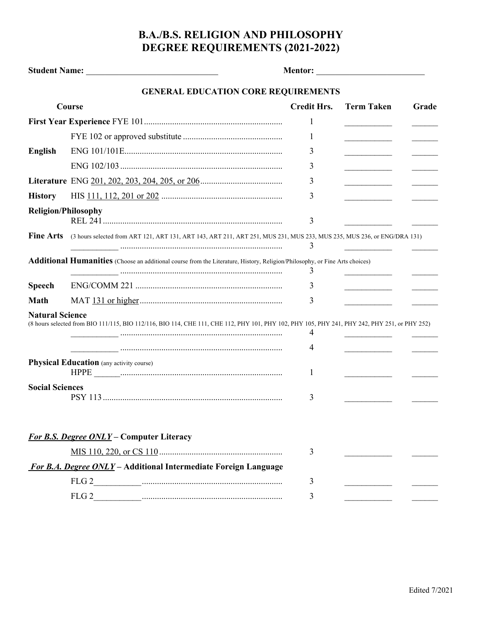## **B.A./B.S. RELIGION AND PHILOSOPHY DEGREE REQUIREMENTS (2021-2022)**

|                            | <b>GENERAL EDUCATION CORE REQUIREMENTS</b>                                                                                                    |                    |                   |       |
|----------------------------|-----------------------------------------------------------------------------------------------------------------------------------------------|--------------------|-------------------|-------|
| Course                     |                                                                                                                                               | <b>Credit Hrs.</b> | <b>Term Taken</b> | Grade |
|                            |                                                                                                                                               | 1                  |                   |       |
|                            |                                                                                                                                               | 1                  |                   |       |
| <b>English</b>             |                                                                                                                                               | 3                  |                   |       |
|                            |                                                                                                                                               | 3                  |                   |       |
|                            |                                                                                                                                               | 3                  |                   |       |
| <b>History</b>             |                                                                                                                                               | 3                  |                   |       |
| <b>Religion/Philosophy</b> |                                                                                                                                               | 3                  |                   |       |
| <b>Fine Arts</b>           | (3 hours selected from ART 121, ART 131, ART 143, ART 211, ART 251, MUS 231, MUS 233, MUS 235, MUS 236, or ENG/DRA 131)                       | 3                  |                   |       |
|                            | <b>Additional Humanities</b> (Choose an additional course from the Literature, History, Religion/Philosophy, or Fine Arts choices)            |                    |                   |       |
| <b>Speech</b>              |                                                                                                                                               | 3<br>3             |                   |       |
| Math                       |                                                                                                                                               | 3                  |                   |       |
| <b>Natural Science</b>     | (8 hours selected from BIO 111/115, BIO 112/116, BIO 114, CHE 111, CHE 112, PHY 101, PHY 102, PHY 105, PHY 241, PHY 242, PHY 251, or PHY 252) | 4                  |                   |       |
|                            |                                                                                                                                               | 4                  |                   |       |
|                            | <b>Physical Education</b> (any activity course)                                                                                               | 1                  |                   |       |
| <b>Social Sciences</b>     |                                                                                                                                               | 3                  |                   |       |
|                            | <b>For B.S. Degree ONLY - Computer Literacy</b>                                                                                               |                    |                   |       |
|                            |                                                                                                                                               | 3                  |                   |       |
|                            | For B.A. Degree ONLY - Additional Intermediate Foreign Language                                                                               |                    |                   |       |
|                            |                                                                                                                                               | 3                  |                   |       |
|                            |                                                                                                                                               | 3                  |                   |       |